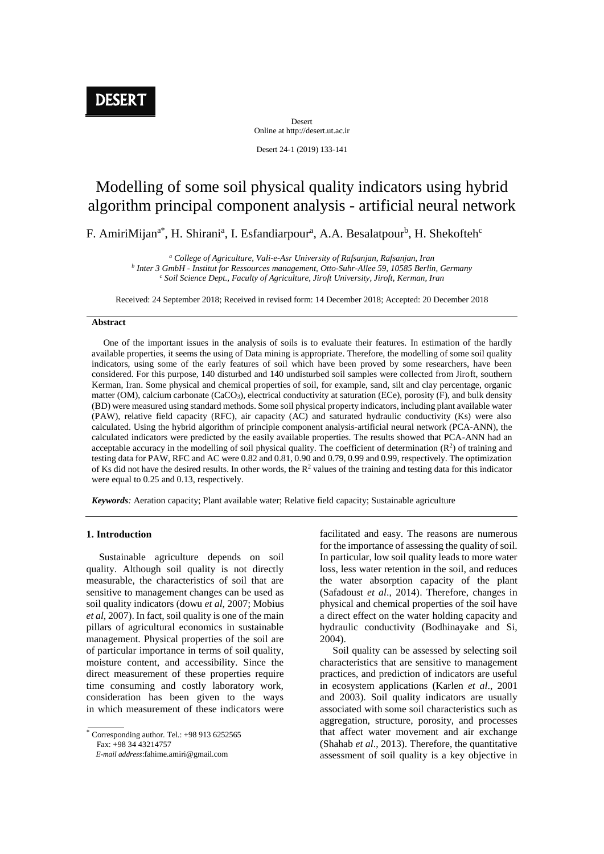Desert Online at http://desert.ut.ac.ir

Desert 24-1 (2019) 133-141

# Modelling of some soil physical quality indicators using hybrid algorithm principal component analysis - artificial neural network

F. AmiriMijan<sup>a\*</sup>, H. Shirani<sup>a</sup>, I. Esfandiarpour<sup>a</sup>, A.A. Besalatpour<sup>b</sup>, H. Shekofteh<sup>c</sup>

*<sup>a</sup> College of Agriculture, Vali-e-Asr University of Rafsanjan, Rafsanjan, Iran*

*b Inter 3 GmbH - Institut for Ressources management, Otto-Suhr-Allee 59, 10585 Berlin, Germany <sup>c</sup> Soil Science Dept., Faculty of Agriculture, Jiroft University, Jiroft, Kerman, Iran*

Received: 24 September 2018; Received in revised form: 14 December 2018; Accepted: 20 December 2018

#### **Abstract**

 One of the important issues in the analysis of soils is to evaluate their features. In estimation of the hardly available properties, it seems the using of Data mining is appropriate. Therefore, the modelling of some soil quality indicators, using some of the early features of soil which have been proved by some researchers, have been considered. For this purpose, 140 disturbed and 140 undisturbed soil samples were collected from Jiroft, southern Kerman, Iran. Some physical and chemical properties of soil, for example, sand, silt and clay percentage, organic matter (OM), calcium carbonate (CaCO3), electrical conductivity at saturation (ECe), porosity (F), and bulk density (BD) were measured using standard methods. Some soil physical property indicators, including plant available water (PAW), relative field capacity (RFC), air capacity (AC) and saturated hydraulic conductivity (Ks) were also calculated. Using the hybrid algorithm of principle component analysis-artificial neural network (PCA-ANN), the calculated indicators were predicted by the easily available properties. The results showed that PCA-ANN had an acceptable accuracy in the modelling of soil physical quality. The coefficient of determination  $(R^2)$  of training and testing data for PAW, RFC and AC were 0.82 and 0.81, 0.90 and 0.79, 0.99 and 0.99, respectively. The optimization of Ks did not have the desired results. In other words, the  $R<sup>2</sup>$  values of the training and testing data for this indicator were equal to 0.25 and 0.13, respectively.

*Keywords:* Aeration capacity; Plant available water; Relative field capacity; Sustainable agriculture

#### **1. Introduction**

 Sustainable agriculture depends on soil quality. Although soil quality is not directly measurable, the characteristics of soil that are sensitive to management changes can be used as soil quality indicators (dowu *et al*, 2007; Mobius *et al*, 2007). In fact, soil quality is one of the main pillars of agricultural economics in sustainable management. Physical properties of the soil are of particular importance in terms of soil quality, moisture content, and accessibility. Since the direct measurement of these properties require time consuming and costly laboratory work, consideration has been given to the ways in which measurement of these indicators were

Corresponding author. Tel.:  $+989136252565$ Fax: +98 34 43214757

 *E-mail address*:fahime.amiri@gmail.com

facilitated and easy. The reasons are numerous for the importance of assessing the quality of soil. In particular, low soil quality leads to more water loss, less water retention in the soil, and reduces the water absorption capacity of the plant (Safadoust *et al*., 2014). Therefore, changes in physical and chemical properties of the soil have a direct effect on the water holding capacity and hydraulic conductivity (Bodhinayake and Si, 2004).

 Soil quality can be assessed by selecting soil characteristics that are sensitive to management practices, and prediction of indicators are useful in ecosystem applications (Karlen *et al*., 2001 and 2003). Soil quality indicators are usually associated with some soil characteristics such as aggregation, structure, porosity, and processes that affect water movement and air exchange (Shahab *et al*., 2013). Therefore, the quantitative assessment of soil quality is a key objective in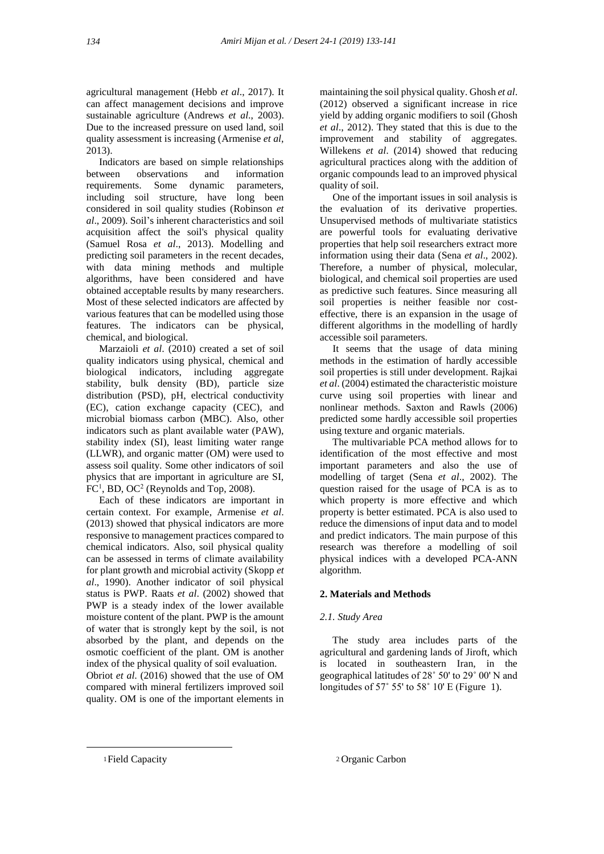agricultural management (Hebb *et al*., 2017). It can affect management decisions and improve sustainable agriculture (Andrews *et al*., 2003). Due to the increased pressure on used land, soil quality assessment is increasing (Armenise *et al*, 2013).

 Indicators are based on simple relationships between observations and information requirements. Some dynamic parameters, including soil structure, have long been considered in soil quality studies (Robinson *et al*., 2009). Soil's inherent characteristics and soil acquisition affect the soil's physical quality (Samuel Rosa *et al*., 2013). Modelling and predicting soil parameters in the recent decades, with data mining methods and multiple algorithms, have been considered and have obtained acceptable results by many researchers. Most of these selected indicators are affected by various features that can be modelled using those features. The indicators can be physical, chemical, and biological.

 Marzaioli *et al*. (2010) created a set of soil quality indicators using physical, chemical and biological indicators, including aggregate stability, bulk density (BD), particle size distribution (PSD), pH, electrical conductivity (EC), cation exchange capacity (CEC), and microbial biomass carbon (MBC). Also, other indicators such as plant available water (PAW), stability index (SI), least limiting water range (LLWR), and organic matter (OM) were used to assess soil quality. Some other indicators of soil physics that are important in agriculture are SI,  $FC<sup>1</sup>$ , BD, OC<sup>2</sup> (Reynolds and Top, 2008).

 Each of these indicators are important in certain context. For example, Armenise *et al*. (2013) showed that physical indicators are more responsive to management practices compared to chemical indicators. Also, soil physical quality can be assessed in terms of climate availability for plant growth and microbial activity (Skopp *et al*., 1990). Another indicator of soil physical status is PWP. Raats *et al*. (2002) showed that PWP is a steady index of the lower available moisture content of the plant. PWP is the amount of water that is strongly kept by the soil, is not absorbed by the plant, and depends on the osmotic coefficient of the plant. OM is another index of the physical quality of soil evaluation.

Obriot *et al*. (2016) showed that the use of OM compared with mineral fertilizers improved soil quality. OM is one of the important elements in

maintaining the soil physical quality. Ghosh *et al*. (2012) observed a significant increase in rice yield by adding organic modifiers to soil (Ghosh *et al*., 2012). They stated that this is due to the improvement and stability of aggregates. Willekens *et al*. (2014) showed that reducing agricultural practices along with the addition of organic compounds lead to an improved physical quality of soil.

 One of the important issues in soil analysis is the evaluation of its derivative properties. Unsupervised methods of multivariate statistics are powerful tools for evaluating derivative properties that help soil researchers extract more information using their data (Sena *et al*., 2002). Therefore, a number of physical, molecular, biological, and chemical soil properties are used as predictive such features. Since measuring all soil properties is neither feasible nor costeffective, there is an expansion in the usage of different algorithms in the modelling of hardly accessible soil parameters.

 It seems that the usage of data mining methods in the estimation of hardly accessible soil properties is still under development. Rajkai *et al*. (2004) estimated the characteristic moisture curve using soil properties with linear and nonlinear methods. Saxton and Rawls (2006) predicted some hardly accessible soil properties using texture and organic materials.

 The multivariable PCA method allows for to identification of the most effective and most important parameters and also the use of modelling of target (Sena *et al*., 2002). The question raised for the usage of PCA is as to which property is more effective and which property is better estimated. PCA is also used to reduce the dimensions of input data and to model and predict indicators. The main purpose of this research was therefore a modelling of soil physical indices with a developed PCA-ANN algorithm.

# **2. Materials and Methods**

# *2.1. Study Area*

 The study area includes parts of the agricultural and gardening lands of Jiroft, which is located in southeastern Iran, in the geographical latitudes of 28˚ 50' to 29˚ 00' N and longitudes of 57° 55' to 58° 10' E (Figure 1).

 $\overline{a}$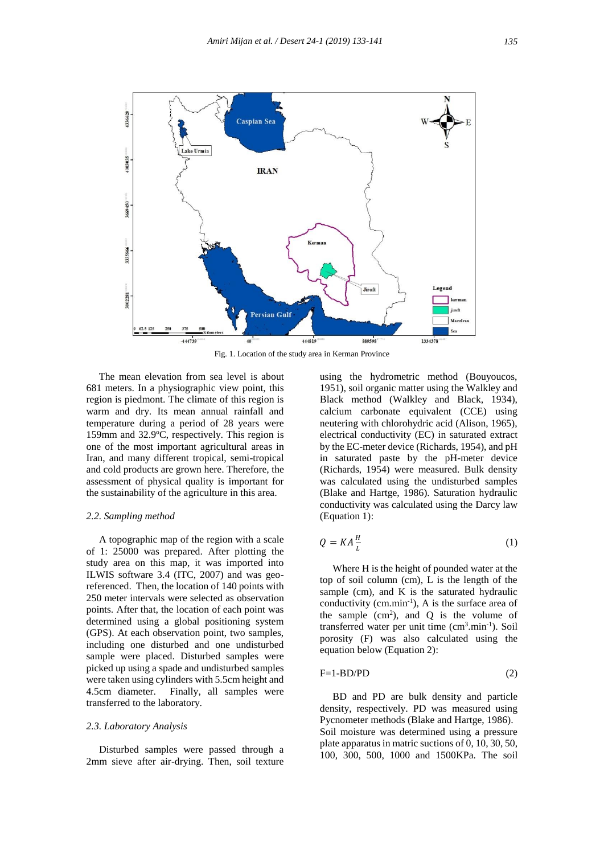

 The mean elevation from sea level is about 681 meters. In a physiographic view point, this region is piedmont. The climate of this region is warm and dry. Its mean annual rainfall and temperature during a period of 28 years were 159mm and 32.9ºC, respectively. This region is one of the most important agricultural areas in Iran, and many different tropical, semi-tropical and cold products are grown here. Therefore, the assessment of physical quality is important for the sustainability of the agriculture in this area.

#### *2.2. Sampling method*

 A topographic map of the region with a scale of 1: 25000 was prepared. After plotting the study area on this map, it was imported into ILWIS software 3.4 (ITC, 2007) and was georeferenced. Then, the location of 140 points with 250 meter intervals were selected as observation points. After that, the location of each point was determined using a global positioning system (GPS). At each observation point, two samples, including one disturbed and one undisturbed sample were placed. Disturbed samples were picked up using a spade and undisturbed samples were taken using cylinders with 5.5cm height and 4.5cm diameter. Finally, all samples were transferred to the laboratory.

### *2.3. Laboratory Analysis*

 Disturbed samples were passed through a 2mm sieve after air-drying. Then, soil texture using the hydrometric method (Bouyoucos, 1951), soil organic matter using the Walkley and Black method (Walkley and Black, 1934), calcium carbonate equivalent (CCE) using neutering with chlorohydric acid (Alison, 1965), electrical conductivity (EC) in saturated extract by the EC-meter device (Richards, 1954), and pH in saturated paste by the pH-meter device (Richards, 1954) were measured. Bulk density was calculated using the undisturbed samples (Blake and Hartge, 1986). Saturation hydraulic conductivity was calculated using the Darcy law (Equation 1):

$$
Q = KA \frac{H}{L} \tag{1}
$$

 Where H is the height of pounded water at the top of soil column (cm), L is the length of the sample (cm), and K is the saturated hydraulic conductivity ( $cm.min^{-1}$ ), A is the surface area of the sample  $(cm<sup>2</sup>)$ , and Q is the volume of transferred water per unit time  $(cm<sup>3</sup>.min<sup>-1</sup>)$ . Soil porosity (F) was also calculated using the equation below (Equation 2):

$$
F=1-BD/PD
$$
 (2)

 BD and PD are bulk density and particle density, respectively. PD was measured using Pycnometer methods (Blake and Hartge, 1986). Soil moisture was determined using a pressure plate apparatus in matric suctions of 0, 10, 30, 50, 100, 300, 500, 1000 and 1500KPa. The soil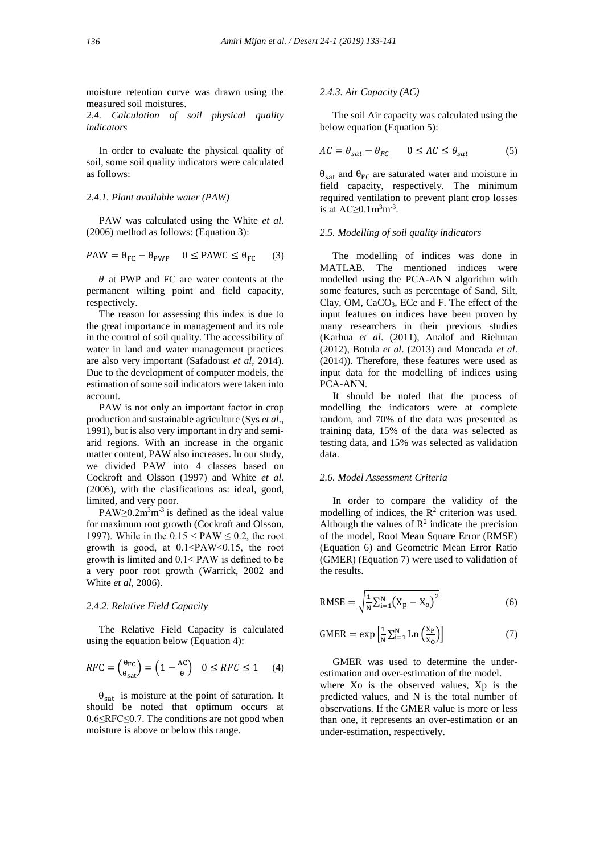moisture retention curve was drawn using the measured soil moistures.

*2.4. Calculation of soil physical quality indicators*

 In order to evaluate the physical quality of soil, some soil quality indicators were calculated as follows:

## *2.4.1. Plant available water (PAW)*

PAW was calculated using the White *et al*. (2006) method as follows: (Equation 3):

$$
PAW = \theta_{FC} - \theta_{PWP} \quad 0 \leq PAWC \leq \theta_{FC} \tag{3}
$$

 $\theta$  at PWP and FC are water contents at the permanent wilting point and field capacity, respectively.

 The reason for assessing this index is due to the great importance in management and its role in the control of soil quality. The accessibility of water in land and water management practices are also very important (Safadoust *et al*, 2014). Due to the development of computer models, the estimation of some soil indicators were taken into account.

 PAW is not only an important factor in crop production and sustainable agriculture (Sys *et al*., 1991), but is also very important in dry and semiarid regions. With an increase in the organic matter content, PAW also increases. In our study, we divided PAW into 4 classes based on Cockroft and Olsson (1997) and White *et al*. (2006), with the clasifications as: ideal, good, limited, and very poor.

PAW $\geq$ 0.2m<sup>3</sup>m<sup>-3</sup> is defined as the ideal value for maximum root growth (Cockroft and Olsson, 1997). While in the  $0.15 < PAW \le 0.2$ , the root growth is good, at 0.1˂PAW˂0.15, the root growth is limited and 0.1˂ PAW is defined to be a very poor root growth (Warrick, 2002 and White *et al*, 2006).

# *2.4.2. Relative Field Capacity*

 The Relative Field Capacity is calculated using the equation below (Equation 4):

$$
RFC = \left(\frac{\theta_{FC}}{\theta_{sat}}\right) = \left(1 - \frac{AC}{\theta}\right) \quad 0 \leq RFC \leq 1 \tag{4}
$$

 $\theta_{\text{sat}}$  is moisture at the point of saturation. It should be noted that optimum occurs at 0.6≤RFC≤0.7. The conditions are not good when moisture is above or below this range.

#### *2.4.3. Air Capacity (AC)*

 The soil Air capacity was calculated using the below equation (Equation 5):

$$
AC = \theta_{sat} - \theta_{FC} \qquad 0 \le AC \le \theta_{sat} \tag{5}
$$

 $\theta_{\text{sat}}$  and  $\theta_{\text{FC}}$  are saturated water and moisture in field capacity, respectively. The minimum required ventilation to prevent plant crop losses is at  $AC \geq 0.1 \text{m}^3 \text{m}^{-3}$ .

#### *2.5. Modelling of soil quality indicators*

 The modelling of indices was done in MATLAB. The mentioned indices were modelled using the PCA-ANN algorithm with some features, such as percentage of Sand, Silt, Clay, OM, CaCO3, ECe and F. The effect of the input features on indices have been proven by many researchers in their previous studies (Karhua *et al*. (2011), Analof and Riehman (2012), Botula *et al*. (2013) and Moncada *et al*. (2014)). Therefore, these features were used as input data for the modelling of indices using PCA-ANN.

 It should be noted that the process of modelling the indicators were at complete random, and 70% of the data was presented as training data, 15% of the data was selected as testing data, and 15% was selected as validation data.

#### *2.6. Model Assessment Criteria*

 In order to compare the validity of the modelling of indices, the  $R^2$  criterion was used. Although the values of  $\mathbb{R}^2$  indicate the precision of the model, Root Mean Square Error (RMSE) (Equation 6) and Geometric Mean Error Ratio (GMER) (Equation 7) were used to validation of the results.

RMSE = 
$$
\sqrt{\frac{1}{N} \sum_{i=1}^{N} (X_p - X_o)^2}
$$
 (6)

$$
GMER = \exp\left[\frac{1}{N}\sum_{i=1}^{N} \ln\left(\frac{X_P}{X_O}\right)\right]
$$
 (7)

 GMER was used to determine the underestimation and over-estimation of the model. where Xo is the observed values. Xp is the predicted values, and N is the total number of observations. If the GMER value is more or less than one, it represents an over-estimation or an under-estimation, respectively.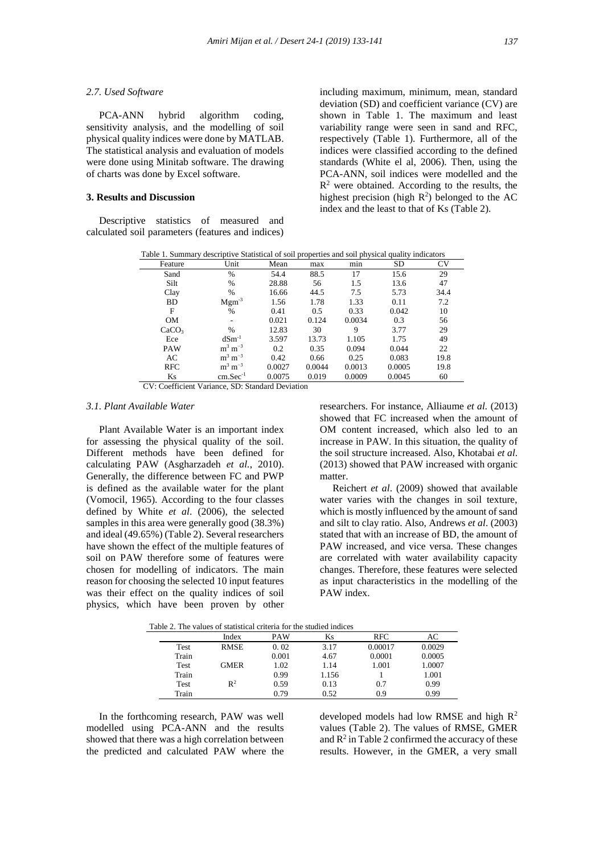#### *2.7. Used Software*

 PCA-ANN hybrid algorithm coding, sensitivity analysis, and the modelling of soil physical quality indices were done by MATLAB. The statistical analysis and evaluation of models were done using Minitab software. The drawing of charts was done by Excel software.

# **3. Results and Discussion**

 Descriptive statistics of measured and calculated soil parameters (features and indices) including maximum, minimum, mean, standard deviation (SD) and coefficient variance (CV) are shown in Table 1. The maximum and least variability range were seen in sand and RFC, respectively (Table 1). Furthermore, all of the indices were classified according to the defined standards (White el al, 2006). Then, using the PCA-ANN, soil indices were modelled and the  $R<sup>2</sup>$  were obtained. According to the results, the highest precision (high  $R^2$ ) belonged to the AC index and the least to that of Ks (Table 2).

| Table 1. Summary descriptive Statistical of soil properties and soil physical quality indicators |                                |        |        |        |           |           |  |  |  |  |
|--------------------------------------------------------------------------------------------------|--------------------------------|--------|--------|--------|-----------|-----------|--|--|--|--|
| Feature                                                                                          | Unit                           | Mean   | max    | min    | <b>SD</b> | <b>CV</b> |  |  |  |  |
| Sand                                                                                             | $\frac{0}{0}$                  | 54.4   | 88.5   | 17     | 15.6      | 29        |  |  |  |  |
| Silt                                                                                             | $\%$                           | 28.88  | 56     | 1.5    | 13.6      | 47        |  |  |  |  |
| Clay                                                                                             | $\frac{0}{0}$                  | 16.66  | 44.5   | 7.5    | 5.73      | 34.4      |  |  |  |  |
| <b>BD</b>                                                                                        | $Mgm^{-3}$                     | 1.56   | 1.78   | 1.33   | 0.11      | 7.2       |  |  |  |  |
| F                                                                                                | $\%$                           | 0.41   | 0.5    | 0.33   | 0.042     | 10        |  |  |  |  |
| <b>OM</b>                                                                                        |                                | 0.021  | 0.124  | 0.0034 | 0.3       | 56        |  |  |  |  |
| CaCO <sub>3</sub>                                                                                | $\frac{0}{0}$                  | 12.83  | 30     | 9      | 3.77      | 29        |  |  |  |  |
| Ece                                                                                              | $dSm^{-1}$                     | 3.597  | 13.73  | 1.105  | 1.75      | 49        |  |  |  |  |
| <b>PAW</b>                                                                                       | $\mathrm{m}^3 \mathrm{m}^{-3}$ | 0.2    | 0.35   | 0.094  | 0.044     | 22        |  |  |  |  |
| AC                                                                                               | $\mathrm{m}^3 \mathrm{m}^{-3}$ | 0.42   | 0.66   | 0.25   | 0.083     | 19.8      |  |  |  |  |
| <b>RFC</b>                                                                                       | $\mathrm{m}^3 \mathrm{m}^{-3}$ | 0.0027 | 0.0044 | 0.0013 | 0.0005    | 19.8      |  |  |  |  |
| Ks                                                                                               | $cm. Sec-1$                    | 0.0075 | 0.019  | 0.0009 | 0.0045    | 60        |  |  |  |  |

CV: Coefficient Variance, SD: Standard Deviation

#### *3.1. Plant Available Water*

 Plant Available Water is an important index for assessing the physical quality of the soil. Different methods have been defined for calculating PAW (Asgharzadeh *et al.*, 2010). Generally, the difference between FC and PWP is defined as the available water for the plant (Vomocil, 1965). According to the four classes defined by White *et al*. (2006), the selected samples in this area were generally good (38.3%) and ideal (49.65%) (Table 2). Several researchers have shown the effect of the multiple features of soil on PAW therefore some of features were chosen for modelling of indicators. The main reason for choosing the selected 10 input features was their effect on the quality indices of soil physics, which have been proven by other

researchers. For instance, Alliaume *et al.* (2013) showed that FC increased when the amount of OM content increased, which also led to an increase in PAW. In this situation, the quality of the soil structure increased. Also, Khotabai *et al*. (2013) showed that PAW increased with organic matter.

 Reichert *et al*. (2009) showed that available water varies with the changes in soil texture, which is mostly influenced by the amount of sand and silt to clay ratio. Also, Andrews *et al*. (2003) stated that with an increase of BD, the amount of PAW increased, and vice versa. These changes are correlated with water availability capacity changes. Therefore, these features were selected as input characteristics in the modelling of the PAW index.

| able 2. The values of statistical criteria for the studied indices |       |                |            |       |            |        |  |  |  |  |
|--------------------------------------------------------------------|-------|----------------|------------|-------|------------|--------|--|--|--|--|
|                                                                    |       | Index          | <b>PAW</b> | Ks    | <b>RFC</b> | AС     |  |  |  |  |
|                                                                    | Test  | <b>RMSE</b>    | 0.02       | 3.17  | 0.00017    | 0.0029 |  |  |  |  |
|                                                                    | Train |                | 0.001      | 4.67  | 0.0001     | 0.0005 |  |  |  |  |
|                                                                    | Test  | <b>GMER</b>    | 1.02       | 1.14  | 1.001      | 1.0007 |  |  |  |  |
|                                                                    | Train |                | 0.99       | 1.156 |            | 1.001  |  |  |  |  |
|                                                                    | Test  | $\mathbb{R}^2$ | 0.59       | 0.13  | 0.7        | 0.99   |  |  |  |  |
|                                                                    | Train |                | 0.79       | 0.52  | 0.9        | 0.99   |  |  |  |  |

Table 2. The values of statistical criteria for the studied indi-

 In the forthcoming research, PAW was well modelled using PCA-ANN and the results showed that there was a high correlation between the predicted and calculated PAW where the

developed models had low RMSE and high R<sup>2</sup> values (Table 2). The values of RMSE, GMER and  $R^2$  in Table 2 confirmed the accuracy of these results. However, in the GMER, a very small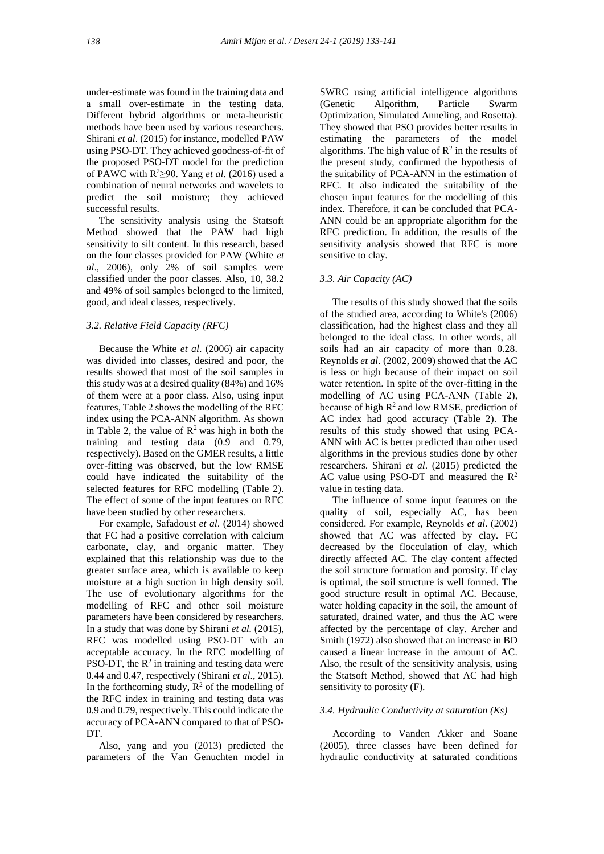under-estimate was found in the training data and a small over-estimate in the testing data. Different hybrid algorithms or meta-heuristic methods have been used by various researchers. Shirani *et al*. (2015) for instance, modelled PAW using PSO-DT. They achieved goodness-of-fit of the proposed PSO-DT model for the prediction of PAWC with R <sup>2</sup>≥90. Yang *et al*. (2016) used a combination of neural networks and wavelets to predict the soil moisture; they achieved successful results.

 The sensitivity analysis using the Statsoft Method showed that the PAW had high sensitivity to silt content. In this research, based on the four classes provided for PAW (White *et al*., 2006), only 2% of soil samples were classified under the poor classes. Also, 10, 38.2 and 49% of soil samples belonged to the limited, good, and ideal classes, respectively.

#### *3.2. Relative Field Capacity (RFC)*

 Because the White *et al*. (2006) air capacity was divided into classes, desired and poor, the results showed that most of the soil samples in this study was at a desired quality (84%) and 16% of them were at a poor class. Also, using input features, Table 2 shows the modelling of the RFC index using the PCA-ANN algorithm. As shown in Table 2, the value of  $\mathbb{R}^2$  was high in both the training and testing data (0.9 and 0.79, respectively). Based on the GMER results, a little over-fitting was observed, but the low RMSE could have indicated the suitability of the selected features for RFC modelling (Table 2). The effect of some of the input features on RFC have been studied by other researchers.

 For example, Safadoust *et al*. (2014) showed that FC had a positive correlation with calcium carbonate, clay, and organic matter. They explained that this relationship was due to the greater surface area, which is available to keep moisture at a high suction in high density soil. The use of evolutionary algorithms for the modelling of RFC and other soil moisture parameters have been considered by researchers. In a study that was done by Shirani *et al.* (2015), RFC was modelled using PSO-DT with an acceptable accuracy. In the RFC modelling of PSO-DT, the  $R^2$  in training and testing data were 0.44 and 0.47, respectively (Shirani *et al*., 2015). In the forthcoming study,  $R^2$  of the modelling of the RFC index in training and testing data was 0.9 and 0.79, respectively. This could indicate the accuracy of PCA-ANN compared to that of PSO-DT.

 Also, yang and you (2013) predicted the parameters of the Van Genuchten model in SWRC using artificial intelligence algorithms (Genetic Algorithm, Particle Swarm Optimization, Simulated Anneling, and Rosetta). They showed that PSO provides better results in estimating the parameters of the model algorithms. The high value of  $\mathbb{R}^2$  in the results of the present study, confirmed the hypothesis of the suitability of PCA-ANN in the estimation of RFC. It also indicated the suitability of the chosen input features for the modelling of this index. Therefore, it can be concluded that PCA-ANN could be an appropriate algorithm for the RFC prediction. In addition, the results of the sensitivity analysis showed that RFC is more sensitive to clay.

## *3.3. Air Capacity (AC)*

 The results of this study showed that the soils of the studied area, according to White's (2006) classification, had the highest class and they all belonged to the ideal class. In other words, all soils had an air capacity of more than 0.28. Reynolds *et al*. (2002, 2009) showed that the AC is less or high because of their impact on soil water retention. In spite of the over-fitting in the modelling of AC using PCA-ANN (Table 2), because of high  $R^2$  and low RMSE, prediction of AC index had good accuracy (Table 2). The results of this study showed that using PCA-ANN with AC is better predicted than other used algorithms in the previous studies done by other researchers. Shirani *et al*. (2015) predicted the AC value using PSO-DT and measured the  $R^2$ value in testing data.

 The influence of some input features on the quality of soil, especially AC, has been considered. For example, Reynolds *et al*. (2002) showed that AC was affected by clay. FC decreased by the flocculation of clay, which directly affected AC. The clay content affected the soil structure formation and porosity. If clay is optimal, the soil structure is well formed. The good structure result in optimal AC. Because, water holding capacity in the soil, the amount of saturated, drained water, and thus the AC were affected by the percentage of clay. Archer and Smith (1972) also showed that an increase in BD caused a linear increase in the amount of AC. Also, the result of the sensitivity analysis, using the Statsoft Method, showed that AC had high sensitivity to porosity (F).

#### *3.4. Hydraulic Conductivity at saturation (Ks)*

 According to Vanden Akker and Soane (2005), three classes have been defined for hydraulic conductivity at saturated conditions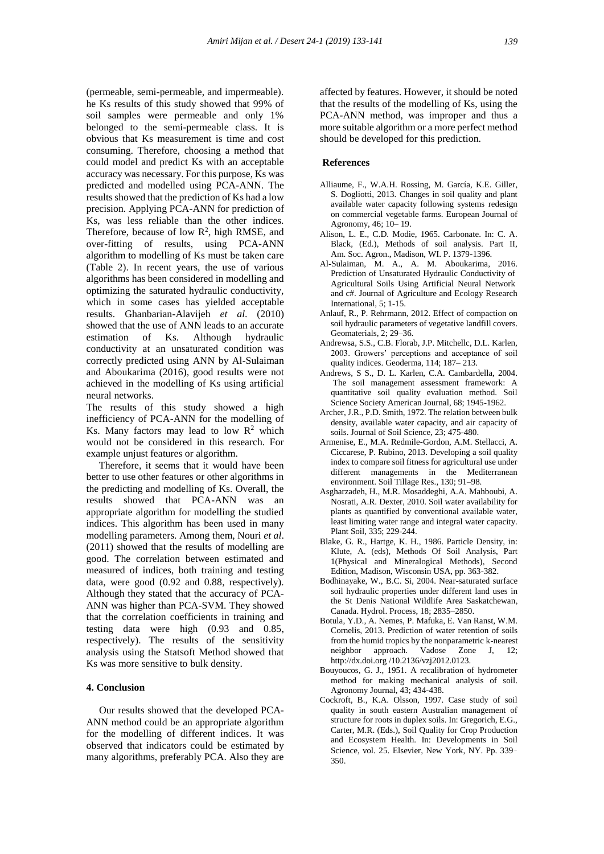(permeable, semi-permeable, and impermeable). he Ks results of this study showed that 99% of soil samples were permeable and only 1% belonged to the semi-permeable class. It is obvious that Ks measurement is time and cost consuming. Therefore, choosing a method that could model and predict Ks with an acceptable accuracy was necessary. For this purpose, Ks was predicted and modelled using PCA-ANN. The results showed that the prediction of Ks had a low precision. Applying PCA-ANN for prediction of Ks, was less reliable than the other indices. Therefore, because of low  $\mathbb{R}^2$ , high RMSE, and over-fitting of results, using PCA-ANN algorithm to modelling of Ks must be taken care (Table 2). In recent years, the use of various algorithms has been considered in modelling and optimizing the saturated hydraulic conductivity, which in some cases has yielded acceptable results. Ghanbarian-Alavijeh *et al*. (2010) showed that the use of ANN leads to an accurate estimation of Ks. Although hydraulic conductivity at an unsaturated condition was correctly predicted using ANN by Al-Sulaiman and Aboukarima (2016), good results were not achieved in the modelling of Ks using artificial neural networks.

The results of this study showed a high inefficiency of PCA-ANN for the modelling of Ks. Many factors may lead to low  $R^2$  which would not be considered in this research. For example unjust features or algorithm.

 Therefore, it seems that it would have been better to use other features or other algorithms in the predicting and modelling of Ks. Overall, the results showed that PCA-ANN was an appropriate algorithm for modelling the studied indices. This algorithm has been used in many modelling parameters. Among them, Nouri *et al*. (2011) showed that the results of modelling are good. The correlation between estimated and measured of indices, both training and testing data, were good (0.92 and 0.88, respectively). Although they stated that the accuracy of PCA-ANN was higher than PCA-SVM. They showed that the correlation coefficients in training and testing data were high (0.93 and 0.85, respectively). The results of the sensitivity analysis using the Statsoft Method showed that Ks was more sensitive to bulk density.

# **4. Conclusion**

 Our results showed that the developed PCA-ANN method could be an appropriate algorithm for the modelling of different indices. It was observed that indicators could be estimated by many algorithms, preferably PCA. Also they are affected by features. However, it should be noted that the results of the modelling of Ks, using the PCA-ANN method, was improper and thus a more suitable algorithm or a more perfect method should be developed for this prediction.

### **References**

- Alliaume, F., W.A.H. Rossing, M. García, K.E. Giller, S. Dogliotti, 2013. Changes in soil quality and plant available water capacity following systems redesign on commercial vegetable farms. European Journal of Agronomy, 46; 10– 19.
- Alison, L. E., C.D. Modie, 1965. Carbonate. In: C. A. Black, (Ed.), Methods of soil analysis. Part II, Am. Soc. Agron., Madison, WI. P. 1379-1396.
- Al-Sulaiman, M. A., A. M. Aboukarima, 2016. Prediction of Unsaturated Hydraulic Conductivity of Agricultural Soils Using Artificial Neural Network and c#. Journal of Agriculture and Ecology Research International, 5; 1-15.
- Anlauf, R., P. Rehrmann, 2012. Effect of compaction on soil hydraulic parameters of vegetative landfill covers. Geomaterials, 2; 29–36.
- Andrewsa, S.S., C.B. Florab, J.P. Mitchellc, D.L. Karlen, 2003. Growers' perceptions and acceptance of soil quality indices. Geoderma, 114; 187– 213.
- Andrews, S S., D. L. Karlen, C.A. Cambardella, 2004. The soil management assessment framework: A quantitative soil quality evaluation method. Soil Science Society American Journal, 68; 1945-1962.
- Archer, J.R., P.D. Smith, 1972. The relation between bulk density, available water capacity, and air capacity of soils. Journal of Soil Science, 23; 475-480.
- Armenise, E., M.A. Redmile-Gordon, A.M. Stellacci, A. Ciccarese, P. Rubino, 2013. Developing a soil quality index to compare soil fitness for agricultural use under different managements in the Mediterranean environment. Soil Tillage Res., 130; 91–98.
- Asgharzadeh, H., M.R. Mosaddeghi, A.A. Mahboubi, A. Nosrati, A.R. Dexter, 2010. Soil water availability for plants as quantified by conventional available water, least limiting water range and integral water capacity. Plant Soil, 335; 229-244.
- Blake, G. R., Hartge, K. H., 1986. Particle Density, in: Klute, A. (eds), Methods Of Soil Analysis, Part 1(Physical and Mineralogical Methods), Second Edition, Madison, Wisconsin USA, pp. 363-382.
- Bodhinayake, W., B.C. Si, 2004. Near-saturated surface soil hydraulic properties under different land uses in the St Denis National Wildlife Area Saskatchewan, Canada. Hydrol. Process, 18; 2835–2850.
- Botula, Y.D., A. Nemes, P. Mafuka, E. Van Ranst, W.M. Cornelis, 2013. Prediction of water retention of soils from the humid tropics by the nonparametric k-nearest neighbor approach. Vadose Zone J, 12; http://dx.doi.org /10.2136/vzj2012.0123.
- Bouyoucos, G. J., 1951. A recalibration of hydrometer method for making mechanical analysis of soil. Agronomy Journal, 43; 434-438.
- Cockroft, B., K.A. Olsson, 1997. Case study of soil quality in south eastern Australian management of structure for roots in duplex soils. In: Gregorich, E.G., Carter, M.R. (Eds.), Soil Quality for Crop Production and Ecosystem Health. In: Developments in Soil Science, vol. 25. Elsevier, New York, NY. Pp. 339– 350.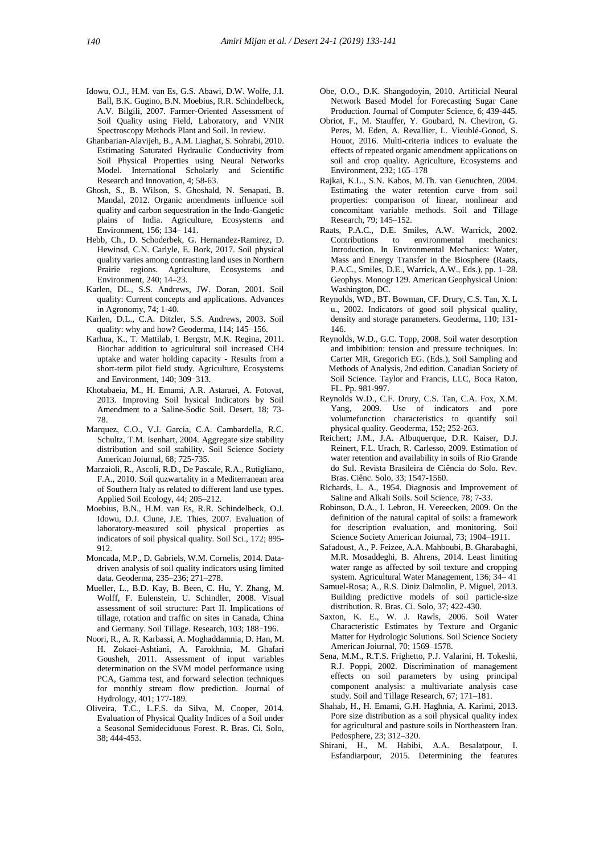- Idowu, O.J., H.M. van Es, G.S. Abawi, D.W. Wolfe, J.I. Ball, B.K. Gugino, B.N. Moebius, R.R. Schindelbeck, A.V. Bilgili, 2007. Farmer-Oriented Assessment of Soil Quality using Field, Laboratory, and VNIR Spectroscopy Methods Plant and Soil. In review.
- Ghanbarian-Alavijeh, B., A.M. Liaghat, S. Sohrabi, 2010. Estimating Saturated Hydraulic Conductivity from Soil Physical Properties using Neural Networks Model. International Scholarly and Scientific Research and Innovation, 4; 58-63.
- Ghosh, S., B. Wilson, S. Ghoshald, N. Senapati, B. Mandal, 2012. Organic amendments influence soil quality and carbon sequestration in the Indo-Gangetic plains of India. Agriculture, Ecosystems and Environment, 156; 134– 141.
- Hebb, Ch., D. Schoderbek, G. Hernandez-Ramirez, D. Hewinsd, C.N. Carlyle, E. Bork, 2017. Soil physical quality varies among contrasting land uses in Northern Prairie regions. Agriculture, Ecosystems and Environment, 240; 14–23.
- Karlen, DL., S.S. Andrews, JW. Doran, 2001. Soil quality: Current concepts and applications. Advances in Agronomy, 74; 1-40.
- Karlen, D.L., C.A. Ditzler, S.S. Andrews, 2003. Soil quality: why and how? Geoderma, 114; 145–156.
- Karhua, K., T. Mattilab, I. Bergstr, M.K. Regina, 2011. Biochar addition to agricultural soil increased CH4 uptake and water holding capacity - Results from a short-term pilot field study. Agriculture, Ecosystems and Environment, 140; 309–313.
- Khotabaeia, M., H. Emami, A.R. Astaraei, A. Fotovat, 2013. Improving Soil hysical Indicators by Soil Amendment to a Saline-Sodic Soil. Desert, 18; 73- 78.
- Marquez, C.O., V.J. Garcia, C.A. Cambardella, R.C. Schultz, T.M. Isenhart, 2004. Aggregate size stability distribution and soil stability. Soil Science Society American Joiurnal, 68; 725-735.
- Marzaioli, R., Ascoli, R.D., De Pascale, R.A., Rutigliano, F.A., 2010. Soil quzwartality in a Mediterranean area of Southern Italy as related to different land use types. Applied Soil Ecology, 44; 205–212.
- Moebius, B.N., H.M. van Es, R.R. Schindelbeck, O.J. Idowu, D.J. Clune, J.E. Thies, 2007. Evaluation of laboratory-measured soil physical properties as indicators of soil physical quality. Soil Sci., 172; 895- 912.
- Moncada, M.P., D. Gabriels, W.M. Cornelis, 2014. Data driven analysis of soil quality indicators using limited data. Geoderma, 235–236; 271–278.
- Mueller, L., B.D. Kay, B. Been, C. Hu, Y. Zhang, M. Wolff, F. Eulenstein, U. Schindler, 2008. Visual assessment of soil structure: Part II. Implications of tillage, rotation and traffic on sites in Canada, China and Germany. Soil Tillage. Research, 103; 188–196.
- Noori, R., A. R. Karbassi, A. Moghaddamnia, D. Han, M. H. Zokaei-Ashtiani, A. Farokhnia, M. Ghafari Gousheh, 2011. Assessment of input variables determination on the SVM model performance using PCA, Gamma test, and forward selection techniques for monthly stream flow prediction. Journal of Hydrology, 401; 177-189.
- Oliveira, T.C., L.F.S. da Silva, M. Cooper, 2014. Evaluation of Physical Quality Indices of a Soil under a Seasonal Semideciduous Forest. R. Bras. Ci. Solo, 38; 444-453.
- Obe, O.O., D.K. Shangodoyin, 2010. Artificial Neural Network Based Model for Forecasting Sugar Cane Production. Journal of Computer Science, 6; 439-445.
- Obriot, F., M. Stauffer, Y. Goubard, N. Cheviron, G. Peres, M. Eden, A. Revallier, L. Vieublé-Gonod, S. Houot, 2016. Multi-criteria indices to evaluate the effects of repeated organic amendment applications on soil and crop quality. Agriculture, Ecosystems and Environment, 232; 165–178
- Rajkai, K.L., S.N. Kabos, M.Th. van Genuchten, 2004. Estimating the water retention curve from soil properties: comparison of linear, nonlinear and concomitant variable methods. Soil and Tillage Research, 79; 145–152.
- Raats, P.A.C., D.E. Smiles, A.W. Warrick, 2002. Contributions to environmental mechanics: Introduction. In Environmental Mechanics: Water, Mass and Energy Transfer in the Biosphere (Raats, P.A.C., Smiles, D.E., Warrick, A.W., Eds.), pp. 1–28. Geophys. Monogr 129. American Geophysical Union: Washington, DC.
- Reynolds, WD., BT. Bowman, CF. Drury, C.S. Tan, X. L u., 2002. Indicators of good soil physical quality, density and storage parameters. Geoderma, 110; 131- 146.
- Reynolds, W.D., G.C. Topp, 2008. Soil water desorption and imbibition: tension and pressure techniques. In: Carter MR, Gregorich EG. (Eds.), Soil Sampling and Methods of Analysis, 2nd edition. Canadian Society of Soil Science. Taylor and Francis, LLC, Boca Raton, FL. Pp. 981-997.
- Reynolds W.D., C.F. Drury, C.S. Tan, C.A. Fox, X.M. Yang, 2009. Use of indicators and pore volumefunction characteristics to quantify soil physical quality. Geoderma, 152; 252-263.
- Reichert; J.M., J.A. Albuquerque, D.R. Kaiser, D.J. Reinert, F.L. Urach, R. Carlesso, 2009. Estimation of water retention and availability in soils of Rio Grande do Sul. Revista Brasileira de Ciência do Solo. Rev. Bras. Ciênc. Solo, 33; 1547-1560.
- Richards, L. A., 1954. Diagnosis and Improvement of Saline and Alkali Soils. Soil Science, 78; 7-33.
- Robinson, D.A., I. Lebron, H. Vereecken, 2009. On the definition of the natural capital of soils: a framework for description evaluation, and monitoring. Soil Science Society American Joiurnal, 73; 1904–1911.
- Safadoust, A., P. Feizee, A.A. Mahboubi, B. Gharabaghi, M.R. Mosaddeghi, B. Ahrens, 2014. Least limiting water range as affected by soil texture and cropping system. Agricultural Water Management, 136; 34– 41
- Samuel-Rosa; A., R.S. Diniz Dalmolin, P. Miguel, 2013. Building predictive models of soil particle-size distribution. R. Bras. Ci. Solo, 37; 422-430.
- Saxton, K. E., W. J. Rawls, 2006. Soil Water Characteristic Estimates by Texture and Organic Matter for Hydrologic Solutions. Soil Science Society American Joiurnal, 70; 1569–1578.
- Sena, M.M., R.T.S. Frighetto, P.J. Valarini, H. Tokeshi, R.J. Poppi, 2002. Discrimination of management effects on soil parameters by using principal component analysis: a multivariate analysis case study. Soil and Tillage Research, 67; 171–181.
- Shahab, H., H. Emami, G.H. Haghnia, A. Karimi, 2013. Pore size distribution as a soil physical quality index for agricultural and pasture soils in Northeastern Iran. Pedosphere, 23; 312–320.
- Shirani, H., M. Habibi, A.A. Besalatpour, I. Esfandiarpour, 2015. Determining the features